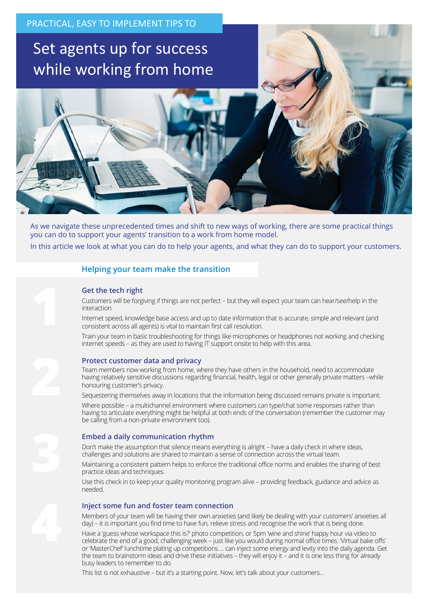# Set agents up for success while working from home

As we navigate these unprecedented times and shift to new ways of working, there are some practical things you can do to support your agents' transition to a work from home model. In this article we look at what you can do to help your agents, and what they can do to support your customers.

# **Helping your team make the transition**

# **Get the tech right**

Customers will be forgiving if things are not perfect – but they will expect your team can hear/see/help in the interaction.

Internet speed, knowledge base access and up to date information that is accurate, simple and relevant (and consistent across all agents) is vital to maintain first call resolution.

Train your team in basic troubleshooting for things like microphones or headphones not working and checking internet speeds – as they are used to having IT support onsite to help with this area.

#### **Protect customer data and privacy**

Team members now working from home, where they have others in the household, need to accommodate having relatively sensitive discussions regarding financial, health, legal or other generally private matters –while honouring customer's privacy.

Sequestering themselves away in locations that the information being discussed remains private is important.

Where possible - a multichannel environment where customers can type/chat some responses rather than having to articulate everything might be helpful at both ends of the conversation (remember the customer may be calling from a non-private environment too).

# **Embed a daily communication rhythm**

Don't make the assumption that silence means everything is alright – have a daily check in where ideas, challenges and solutions are shared to maintain a sense of connection across the virtual team.

Maintaining a consistent pattern helps to enforce the traditional office norms and enables the sharing of best practice ideas and techniques.

Use this check in to keep your quality monitoring program alive – providing feedback, guidance and advice as needed.

#### **Inject some fun and foster team connection**

Members of your team will be having their own anxieties (and likely be dealing with your customers' anxieties all day) – it is important you find time to have fun, relieve stress and recognise the work that is being done.

Have a 'guess whose workspace this is?' photo competition, or 5pm 'wine and shine' happy hour via video to celebrate the end of a good, challenging week – just like you would during normal office times. 'Virtual bake offs' or 'MasterChef' lunchtime plating up competitions…. can inject some energy and levity into the daily agenda. Get the team to brainstorm ideas and drive these initiatives – they will enjoy it – and it is one less thing for already busy leaders to remember to do.

This list is not exhaustive – but it's a starting point. Now, let's talk about your customers…